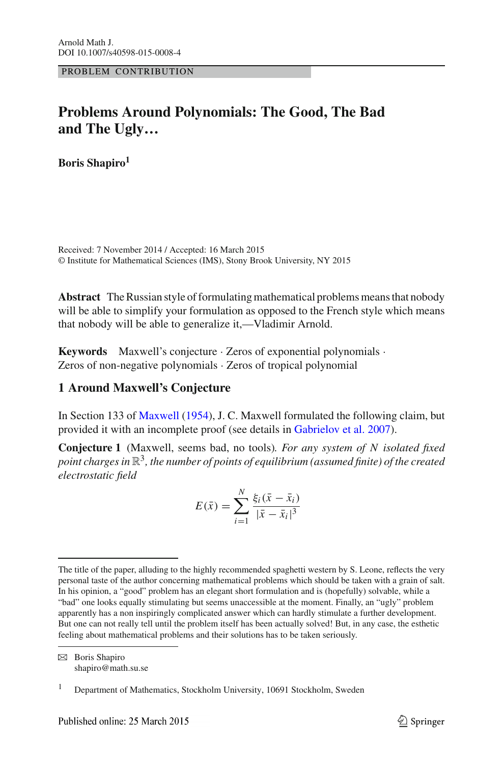PROBLEM CONTRIBUTION

# **Problems Around Polynomials: The Good, The Bad and The Ugly…**

**Boris Shapiro1**

Received: 7 November 2014 / Accepted: 16 March 2015 © Institute for Mathematical Sciences (IMS), Stony Brook University, NY 2015

**Abstract** The Russian style of formulating mathematical problems means that nobody will be able to simplify your formulation as opposed to the French style which means that nobody will be able to generalize it,—Vladimir Arnold.

**Keywords** Maxwell's conjecture · Zeros of exponential polynomials · Zeros of non-negative polynomials · Zeros of tropical polynomial

# **1 Around Maxwell's Conjecture**

In Section 133 of [Maxwell](#page-8-0) [\(1954\)](#page-8-0), J. C. Maxwell formulated the following claim, but provided it with an incomplete proof (see details in [Gabrielov et al. 2007\)](#page-8-1).

<span id="page-0-0"></span>**Conjecture 1** (Maxwell, seems bad, no tools)*. For any system of N isolated fixed point charges in* R3*, the number of points of equilibrium (assumed finite) of the created electrostatic field*

$$
E(\bar{x}) = \sum_{i=1}^{N} \frac{\xi_i (\bar{x} - \bar{x}_i)}{|\bar{x} - \bar{x}_i|^3}
$$

B Boris Shapiro shapiro@math.su.se

The title of the paper, alluding to the highly recommended spaghetti western by S. Leone, reflects the very personal taste of the author concerning mathematical problems which should be taken with a grain of salt. In his opinion, a "good" problem has an elegant short formulation and is (hopefully) solvable, while a "bad" one looks equally stimulating but seems unaccessible at the moment. Finally, an "ugly" problem apparently has a non inspiringly complicated answer which can hardly stimulate a further development. But one can not really tell until the problem itself has been actually solved! But, in any case, the esthetic feeling about mathematical problems and their solutions has to be taken seriously.

<sup>1</sup> Department of Mathematics, Stockholm University, 10691 Stockholm, Sweden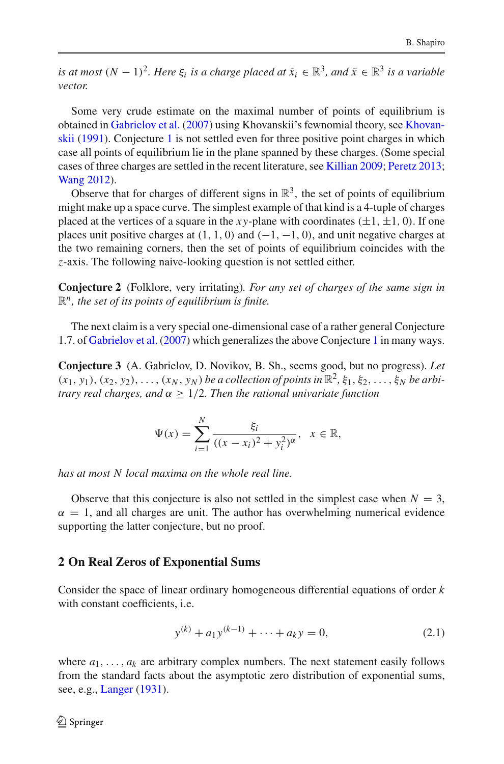*is at most*  $(N - 1)^2$ *. Here*  $\xi_i$  *is a charge placed at*  $\overline{x}_i \in \mathbb{R}^3$ *, and*  $\overline{x} \in \mathbb{R}^3$  *is a variable vector.*

Some very crude estimate on the maximal number of points of equilibrium is obtained in [Gabrielov et al.](#page-8-1) [\(2007](#page-8-1)[\)](#page-8-2) [using](#page-8-2) [Khovanskii's](#page-8-2) [fewnomial](#page-8-2) [theory,](#page-8-2) [see](#page-8-2) Khovanskii [\(1991\)](#page-8-2). Conjecture [1](#page-0-0) is not settled even for three positive point charges in which case all points of equilibrium lie in the plane spanned by these charges. (Some special cases of three charges are settled in the recent literature, see [Killian 2009;](#page-8-3) [Peretz 2013](#page-8-4); [Wang 2012](#page-8-5)).

Observe that for charges of different signs in  $\mathbb{R}^3$ , the set of points of equilibrium might make up a space curve. The simplest example of that kind is a 4-tuple of charges placed at the vertices of a square in the *xy*-plane with coordinates  $(\pm 1, \pm 1, 0)$ . If one places unit positive charges at  $(1, 1, 0)$  and  $(-1, -1, 0)$ , and unit negative charges at the two remaining corners, then the set of points of equilibrium coincides with the *z*-axis. The following naive-looking question is not settled either.

**Conjecture 2** (Folklore, very irritating)*. For any set of charges of the same sign in* R*n, the set of its points of equilibrium is finite.*

The next claim is a very special one-dimensional case of a rather general Conjecture 1.7. of [Gabrielov et al.](#page-8-1) [\(2007\)](#page-8-1) which generalizes the above Conjecture [1](#page-0-0) in many ways.

**Conjecture 3** (A. Gabrielov, D. Novikov, B. Sh., seems good, but no progress). *Let*  $(x_1, y_1), (x_2, y_2), \ldots, (x_N, y_N)$  *be a collection of points in*  $\mathbb{R}^2, \xi_1, \xi_2, \ldots, \xi_N$  *be arbitrary real charges, and* α ≥ 1/2*. Then the rational univariate function*

$$
\Psi(x) = \sum_{i=1}^{N} \frac{\xi_i}{((x - x_i)^2 + y_i^2)^{\alpha}}, \ \ x \in \mathbb{R},
$$

*has at most N local maxima on the whole real line.*

Observe that this conjecture is also not settled in the simplest case when  $N = 3$ ,  $\alpha = 1$ , and all charges are unit. The author has overwhelming numerical evidence supporting the latter conjecture, but no proof.

### **2 On Real Zeros of Exponential Sums**

Consider the space of linear ordinary homogeneous differential equations of order *k* with constant coefficients, i.e.

$$
y^{(k)} + a_1 y^{(k-1)} + \dots + a_k y = 0,
$$
\n(2.1)

<span id="page-1-1"></span><span id="page-1-0"></span>where  $a_1, \ldots, a_k$  are arbitrary complex numbers. The next statement easily follows from the standard facts about the asymptotic zero distribution of exponential sums, see, e.g., [Langer](#page-8-6) [\(1931\)](#page-8-6).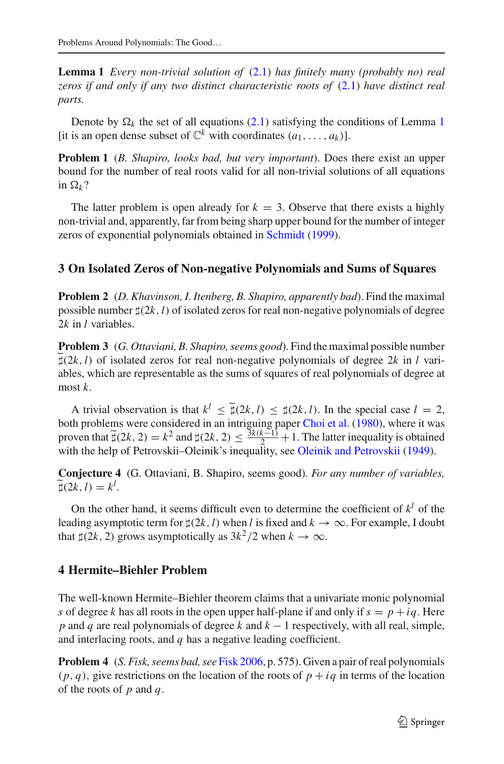**Lemma 1** *Every non-trivial solution of* [\(2.1\)](#page-1-0) *has finitely many (probably no) real zeros if and only if any two distinct characteristic roots of* [\(2.1\)](#page-1-0) *have distinct real parts.*

Denote by  $\Omega_k$  the set of all equations [\(2.1\)](#page-1-0) satisfying the conditions of Lemma [1](#page-1-1) [it is an open dense subset of  $\mathbb{C}^k$  with coordinates  $(a_1, \ldots, a_k)$ ].

**Problem 1** (*B. Shapiro, looks bad, but very important*). Does there exist an upper bound for the number of real roots valid for all non-trivial solutions of all equations in  $\Omega_k$ ?

The latter problem is open already for  $k = 3$ . Observe that there exists a highly non-trivial and, apparently, far from being sharp upper bound for the number of integer zeros of exponential polynomials obtained in [Schmidt](#page-8-7) [\(1999\)](#page-8-7).

# **3 On Isolated Zeros of Non-negative Polynomials and Sums of Squares**

**Problem 2** (*D. Khavinson, I. Itenberg, B. Shapiro, apparently bad*). Find the maximal possible number  $\sharp(2k, l)$  of isolated zeros for real non-negative polynomials of degree 2*k* in *l* variables.

**Problem 3** (*G. Ottaviani, B. Shapiro, seems good*). Find the maximal possible number  $\tilde{\sharp}(2k, l)$  of isolated zeros for real non-negative polynomials of degree 2k in *l* variables, which are representable as the sums of squares of real polynomials of degree at most *k*.

A trivial observation is that  $k^l \leq \tilde{\mu}(2k, l) \leq \mu(2k, l)$ . In the special case  $l = 2$ , both problems were considered in an intriguing paper [Choi et al.](#page-8-8) [\(1980](#page-8-8)), where it was proven that  $\tilde{\mu}(2k, 2) = k^2$  and  $\mu(2k, 2) \le \frac{3k(k-1)}{2} + 1$ . The latter inequality is obtained with the help of Petrovskii–Oleinik's inequality, see [Oleinik and Petrovskii](#page-8-9) [\(1949\)](#page-8-9).

**Conjecture 4** (G. Ottaviani, B. Shapiro, seems good)*. For any number of variables,*  $\widetilde{\sharp}(2k,l) = k^l.$ 

On the other hand, it seems difficult even to determine the coefficient of  $k^l$  of the leading asymptotic term for  $\sharp(2k, l)$  when *l* is fixed and  $k \to \infty$ . For example, I doubt that  $\sharp(2k, 2)$  grows asymptotically as  $3k^2/2$  when  $k \to \infty$ .

# **4 Hermite–Biehler Problem**

The well-known Hermite–Biehler theorem claims that a univariate monic polynomial *s* of degree *k* has all roots in the open upper half-plane if and only if  $s = p + iq$ . Here *p* and *q* are real polynomials of degree *k* and *k* − 1 respectively, with all real, simple, and interlacing roots, and *q* has a negative leading coefficient.

**Problem 4** (*S. Fisk, seems bad, see* [Fisk 2006](#page-8-10), p. 575). Given a pair of real polynomials  $(p, q)$ , give restrictions on the location of the roots of  $p + iq$  in terms of the location of the roots of *p* and *q*.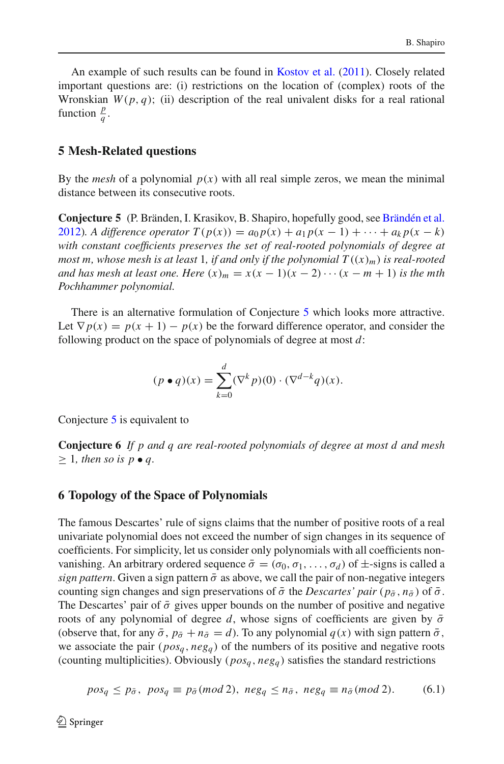An example of such results can be found in [Kostov et al.](#page-8-11) [\(2011\)](#page-8-11). Closely related important questions are: (i) restrictions on the location of (complex) roots of the Wronskian  $W(p, q)$ ; (ii) description of the real univalent disks for a real rational function  $\frac{p}{q}$ .

#### **5 Mesh-Related questions**

<span id="page-3-0"></span>By the *mesh* of a polynomial  $p(x)$  with all real simple zeros, we mean the minimal distance between its consecutive roots.

**Conjecture 5** (P. Bränden, I. Krasikov, B. Shapiro, hopefully good, see [Brändén et al.](#page-8-12) [2012\)](#page-8-12)*.* A difference operator  $T(p(x)) = a_0 p(x) + a_1 p(x - 1) + \cdots + a_k p(x - k)$ *with constant coefficients preserves the set of real-rooted polynomials of degree at most m, whose mesh is at least 1, if and only if the polynomial*  $T((x)<sub>m</sub>)$  *is real-rooted and has mesh at least one. Here*  $(x)_m = x(x - 1)(x - 2) \cdots (x - m + 1)$  *is the mth Pochhammer polynomial.*

There is an alternative formulation of Conjecture [5](#page-3-0) which looks more attractive. Let  $\nabla p(x) = p(x+1) - p(x)$  be the forward difference operator, and consider the following product on the space of polynomials of degree at most *d*:

$$
(p \bullet q)(x) = \sum_{k=0}^{d} (\nabla^k p)(0) \cdot (\nabla^{d-k} q)(x).
$$

Conjecture [5](#page-3-0) is equivalent to

**Conjecture 6** *If p and q are real-rooted polynomials of degree at most d and mesh*  $\geq$  1*, then so is p* • *q*.

#### **6 Topology of the Space of Polynomials**

The famous Descartes' rule of signs claims that the number of positive roots of a real univariate polynomial does not exceed the number of sign changes in its sequence of coefficients. For simplicity, let us consider only polynomials with all coefficients nonvanishing. An arbitrary ordered sequence  $\bar{\sigma} = (\sigma_0, \sigma_1, \ldots, \sigma_d)$  of  $\pm$ -signs is called a *sign pattern*. Given a sign pattern  $\bar{\sigma}$  as above, we call the pair of non-negative integers counting sign changes and sign preservations of  $\bar{\sigma}$  the *Descartes' pair* ( $p_{\bar{\sigma}}$ ,  $n_{\bar{\sigma}}$ ) of  $\bar{\sigma}$ . The Descartes' pair of  $\bar{\sigma}$  gives upper bounds on the number of positive and negative roots of any polynomial of degree d, whose signs of coefficients are given by  $\bar{\sigma}$ (observe that, for any  $\bar{\sigma}$ ,  $p_{\bar{\sigma}} + n_{\bar{\sigma}} = d$ ). To any polynomial  $q(x)$  with sign pattern  $\bar{\sigma}$ , we associate the pair  $(pos_q, neg_q)$  of the numbers of its positive and negative roots (counting multiplicities). Obviously ( $pos_a, neg_a$ ) satisfies the standard restrictions

<span id="page-3-1"></span>
$$
pos_q \leq p_{\bar{\sigma}}, pos_q \equiv p_{\bar{\sigma}}(mod\ 2), neg_q \leq n_{\bar{\sigma}}, neg_q \equiv n_{\bar{\sigma}}(mod\ 2).
$$
 (6.1)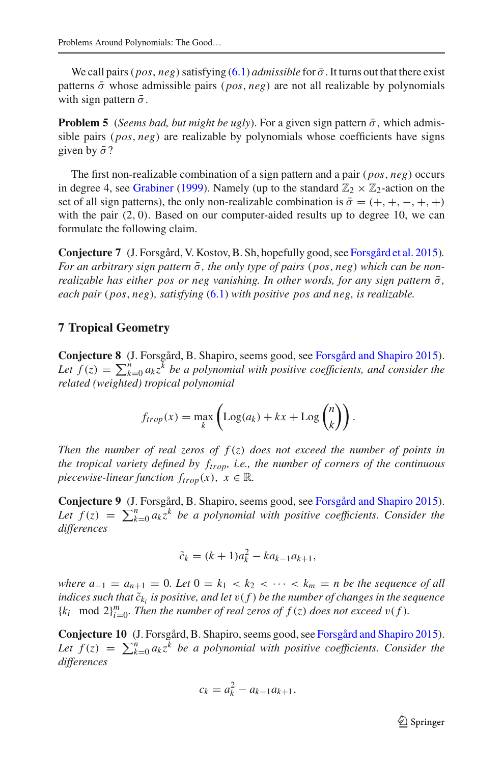We call pairs (*pos*, *neg*) satisfying [\(6.1\)](#page-3-1) *admissible* for  $\bar{\sigma}$ . It turns out that there exist patterns  $\bar{\sigma}$  whose admissible pairs (*pos*, *neg*) are not all realizable by polynomials with sign pattern  $\bar{\sigma}$ .

**Problem 5** (*Seems bad, but might be ugly*). For a given sign pattern  $\bar{\sigma}$ , which admissible pairs (*pos*, *neg*) are realizable by polynomials whose coefficients have signs given by  $\bar{\sigma}$ ?

The first non-realizable combination of a sign pattern and a pair (*pos*, *neg*) occurs in degree 4, see [Grabiner](#page-8-13) [\(1999](#page-8-13)). Namely (up to the standard  $\mathbb{Z}_2 \times \mathbb{Z}_2$ -action on the set of all sign patterns), the only non-realizable combination is  $\bar{\sigma} = (+, +, -, +, +)$ with the pair  $(2, 0)$ . Based on our computer-aided results up to degree 10, we can formulate the following claim.

**Conjecture 7** (J. Forsgård, V. Kostov, B. Sh, hopefully good, see [Forsgård et al. 2015](#page-8-14))*. For an arbitrary sign pattern*  $\bar{\sigma}$ *, the only type of pairs* (*pos, neg*) *which can be nonrealizable has either pos or neg vanishing. In other words, for any sign pattern*  $\bar{\sigma}$ *, each pair* (*pos*, *neg*)*, satisfying* [\(6.1\)](#page-3-1) *with positive pos and neg, is realizable.*

#### **7 Tropical Geometry**

**Conjecture 8** (J. Forsgård, B. Shapiro, seems good, see [Forsgård and Shapiro 2015](#page-8-15)). Let  $f(z) = \sum_{k=0}^{n} a_k z^k$  *be a polynomial with positive coefficients, and consider the related (weighted) tropical polynomial*

$$
f_{trop}(x) = \max_{k} \left( \text{Log}(a_k) + kx + \text{Log}\binom{n}{k} \right).
$$

*Then the number of real zeros of f* (*z*) *does not exceed the number of points in the tropical variety defined by*  $f_{trop}$ *, i.e., the number of corners of the continuous piecewise-linear function*  $f_{trop}(x)$ ,  $x \in \mathbb{R}$ *.* 

**Conjecture 9** (J. Forsgård, B. Shapiro, seems good, see [Forsgård and Shapiro 2015](#page-8-15)). Let  $f(z) = \sum_{k=0}^{n} a_k z^k$  *be a polynomial with positive coefficients. Consider the differences*

$$
\tilde{c}_k = (k+1)a_k^2 - ka_{k-1}a_{k+1},
$$

*where*  $a_{-1} = a_{n+1} = 0$ *. Let*  $0 = k_1 < k_2 < \cdots < k_m = n$  be the sequence of all *indices such that*  $\tilde{c}_{k_i}$  *is positive, and let*  $v(f)$  *be the number of changes in the sequence*  ${k_i \mod 2}_{i=0}^m$ . Then the number of real zeros of  $f(z)$  does not exceed  $v(f)$ .

**Conjecture 10** (J. Forsgård, B. Shapiro, seems good, see [Forsgård and Shapiro 2015](#page-8-15)). Let  $f(z) = \sum_{k=0}^{n} a_k z^k$  *be a polynomial with positive coefficients. Consider the differences*

$$
c_k = a_k^2 - a_{k-1}a_{k+1},
$$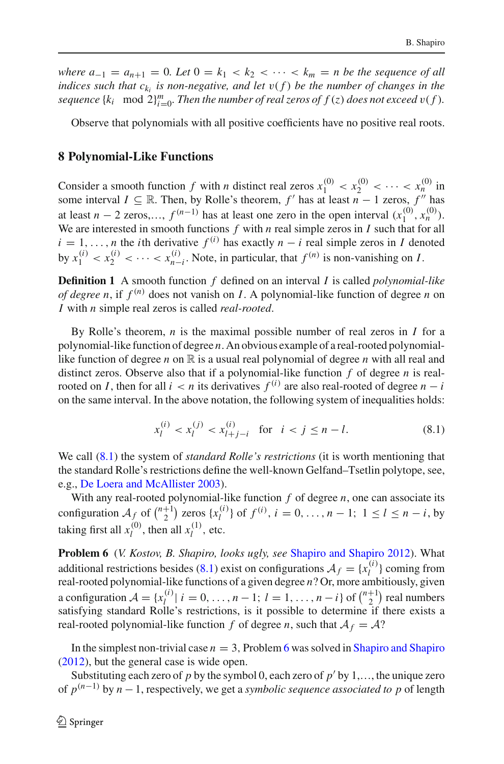*where*  $a_{-1} = a_{n+1} = 0$ *. Let*  $0 = k_1 < k_2 < \cdots < k_m = n$  be the sequence of all *indices such that*  $c_k$  *is non-negative, and let*  $v(f)$  *be the number of changes in the* sequence  $\{k_i \mod 2\}_{i=0}^m$ . Then the number of real zeros of  $f(z)$  does not exceed  $v(f)$ .

Observe that polynomials with all positive coefficients have no positive real roots.

#### **8 Polynomial-Like Functions**

Consider a smooth function *f* with *n* distinct real zeros  $x_1^{(0)} < x_2^{(0)} < \cdots < x_n^{(0)}$  in some interval  $I \subseteq \mathbb{R}$ . Then, by Rolle's theorem,  $f'$  has at least  $n - 1$  zeros,  $f''$  has at least *n* − 2 zeros,...,  $f^{(n-1)}$  has at least one zero in the open interval  $(x_1^{(0)}, x_n^{(0)})$ . We are interested in smooth functions  $f$  with  $n$  real simple zeros in  $I$  such that for all  $i = 1, \ldots, n$  the *i*th derivative  $f^{(i)}$  has exactly  $n - i$  real simple zeros in *I* denoted by  $x_1^{(i)} < x_2^{(i)} < \cdots < x_{n-i}^{(i)}$ . Note, in particular, that  $f^{(n)}$  is non-vanishing on *I*.

**Definition 1** A smooth function *f* defined on an interval *I* is called *polynomial-like of degree n*, if  $f^{(n)}$  does not vanish on *I*. A polynomial-like function of degree *n* on *I* with *n* simple real zeros is called *real-rooted*.

By Rolle's theorem, *n* is the maximal possible number of real zeros in *I* for a polynomial-like function of degree *n*. An obvious example of a real-rooted polynomiallike function of degree *n* on  $\mathbb R$  is a usual real polynomial of degree *n* with all real and distinct zeros. Observe also that if a polynomial-like function *f* of degree *n* is realrooted on *I*, then for all  $i < n$  its derivatives  $f^{(i)}$  are also real-rooted of degree  $n - i$ on the same interval. In the above notation, the following system of inequalities holds:

$$
x_l^{(i)} < x_l^{(j)} < x_{l+j-i}^{(i)} \quad \text{for} \quad i < j \le n - l. \tag{8.1}
$$

<span id="page-5-0"></span>We call [\(8.1\)](#page-5-0) the system of *standard Rolle's restrictions* (it is worth mentioning that the standard Rolle's restrictions define the well-known Gelfand–Tsetlin polytope, see, e.g., [De Loera and McAllister 2003](#page-8-16)).

With any real-rooted polynomial-like function *f* of degree *n*, one can associate its configuration  $A_f$  of  $\binom{n+1}{2}$  zeros  $\{x_i^{(i)}\}$  of  $f^{(i)}$ ,  $i = 0, \ldots, n-1; 1 \le l \le n-i$ , by taking first all  $x_l^{(0)}$ , then all  $x_l^{(1)}$ , etc.

<span id="page-5-1"></span>**Problem 6** (*V. Kostov, B. Shapiro, looks ugly, see* [Shapiro and Shapiro 2012\)](#page-8-17). What additional restrictions besides [\(8.1\)](#page-5-0) exist on configurations  $A_f = \{x_l^{(i)}\}$  coming from real-rooted polynomial-like functions of a given degree *n*? Or, more ambitiously, given a configuration  $\mathcal{A} = \{x_l^{(i)} | i = 0, \ldots, n-1; l = 1, \ldots, n-i\}$  of  $\binom{n+1}{2}$  real numbers satisfying standard Rolle's restrictions, is it possible to determine if there exists a real-rooted polynomial-like function  $f$  of degree  $n$ , such that  $A_f = A$ ?

In the simplest non-trivial case  $n = 3$ , Problem [6](#page-5-1) was solved in [Shapiro and Shapiro](#page-8-17) [\(2012\)](#page-8-17), but the general case is wide open.

Substituting each zero of  $p$  by the symbol 0, each zero of  $p'$  by 1,..., the unique zero of *p*(*n*−1) by *n* −1, respectively, we get a *symbolic sequence associated to p* of length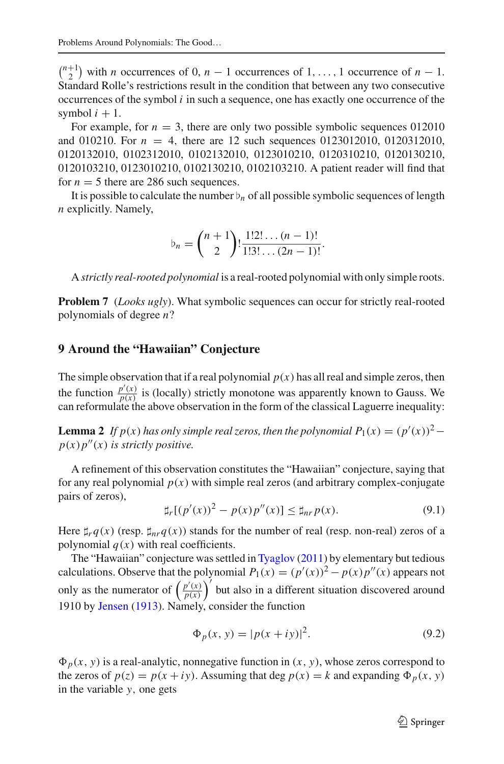$\binom{n+1}{2}$  with *n* occurrences of 0, *n* − 1 occurrences of 1, ..., 1 occurrence of *n* − 1. Standard Rolle's restrictions result in the condition that between any two consecutive occurrences of the symbol *i* in such a sequence, one has exactly one occurrence of the symbol  $i + 1$ .

For example, for  $n = 3$ , there are only two possible symbolic sequences  $012010$ and 010210. For  $n = 4$ , there are 12 such sequences 0123012010, 0120312010, 0120132010, 0102312010, 0102132010, 0123010210, 0120310210, 0120130210, 0120103210, 0123010210, 0102130210, 0102103210. A patient reader will find that for  $n = 5$  there are 286 such sequences.

It is possible to calculate the number  $\nu_n$  of all possible symbolic sequences of length *n* explicitly. Namely,

$$
b_n = {n+1 \choose 2}! \frac{1!2! \dots (n-1)!}{1!3! \dots (2n-1)!}.
$$

A *strictly real-rooted polynomial* is a real-rooted polynomial with only simple roots.

**Problem 7** (*Looks ugly*). What symbolic sequences can occur for strictly real-rooted polynomials of degree *n*?

## **9 Around the "Hawaiian" Conjecture**

The simple observation that if a real polynomial  $p(x)$  has all real and simple zeros, then the function  $\frac{p'(x)}{p(x)}$  is (locally) strictly monotone was apparently known to Gauss. We can reformulate the above observation in the form of the classical Laguerre inequality:

**Lemma 2** *If*  $p(x)$  *has only simple real zeros, then the polynomial*  $P_1(x) = (p'(x))^2 - p(x)$  $p(x)p''(x)$  *is strictly positive.* 

A refinement of this observation constitutes the "Hawaiian" conjecture, saying that for any real polynomial  $p(x)$  with simple real zeros (and arbitrary complex-conjugate pairs of zeros),

$$
\sharp_r[(p'(x))^2 - p(x)p''(x)] \le \sharp_{nr} p(x). \tag{9.1}
$$

Here  $\sharp_{rq}(x)$  (resp.  $\sharp_{nr}q(x)$ ) stands for the number of real (resp. non-real) zeros of a polynomial  $q(x)$  with real coefficients.

The "Hawaiian" conjecture was settled in [Tyaglov](#page-8-18) [\(2011](#page-8-18)) by elementary but tedious calculations. Observe that the polynomial  $P_1(x) = (p'(x))^2 - p(x)p''(x)$  appears not only as the numerator of  $\left(\frac{p'(x)}{p(x)}\right)$  $\frac{p'(x)}{p(x)}$  but also in a different situation discovered around 1910 by [Jensen](#page-8-19) [\(1913\)](#page-8-19). Namely, consider the function

$$
\Phi_p(x, y) = |p(x + iy)|^2.
$$
\n(9.2)

 $\Phi_p(x, y)$  is a real-analytic, nonnegative function in  $(x, y)$ , whose zeros correspond to the zeros of  $p(z) = p(x + iy)$ . Assuming that deg  $p(x) = k$  and expanding  $\Phi_p(x, y)$ in the variable *y*, one gets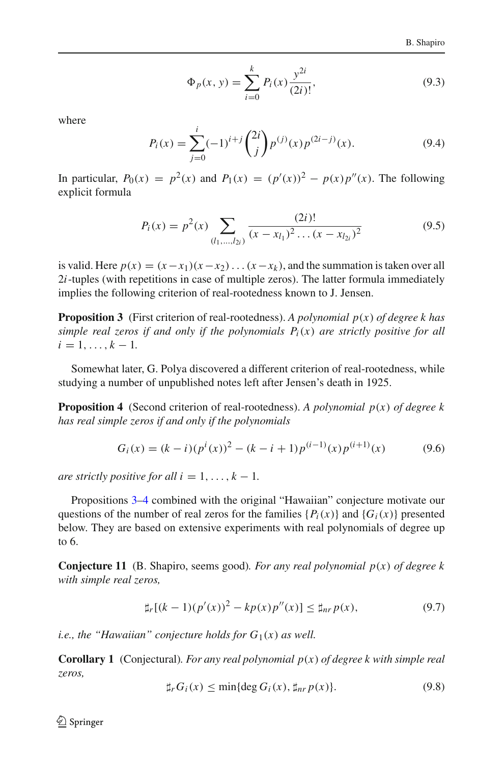$$
\Phi_p(x, y) = \sum_{i=0}^{k} P_i(x) \frac{y^{2i}}{(2i)!},
$$
\n(9.3)

where

$$
P_i(x) = \sum_{j=0}^{i} (-1)^{i+j} {2i \choose j} p^{(j)}(x) p^{(2i-j)}(x).
$$
 (9.4)

In particular,  $P_0(x) = p^2(x)$  and  $P_1(x) = (p'(x))^2 - p(x)p''(x)$ . The following explicit formula

$$
P_i(x) = p^2(x) \sum_{(l_1,\dots,l_{2i})} \frac{(2i)!}{(x - x_{l_1})^2 \dots (x - x_{l_{2i}})^2}
$$
(9.5)

is valid. Here  $p(x) = (x - x_1)(x - x_2) \dots (x - x_k)$ , and the summation is taken over all 2*i*-tuples (with repetitions in case of multiple zeros). The latter formula immediately implies the following criterion of real-rootedness known to J. Jensen.

<span id="page-7-0"></span>**Proposition 3** (First criterion of real-rootedness). *A polynomial p*(*x*) *of degree k has simple real zeros if and only if the polynomials*  $P_i(x)$  *are strictly positive for all*  $i = 1, \ldots, k - 1.$ 

<span id="page-7-1"></span>Somewhat later, G. Polya discovered a different criterion of real-rootedness, while studying a number of unpublished notes left after Jensen's death in 1925.

**Proposition 4** (Second criterion of real-rootedness). *A polynomial p*(*x*) *of degree k has real simple zeros if and only if the polynomials*

$$
G_i(x) = (k - i)(p^i(x))^2 - (k - i + 1)p^{(i-1)}(x)p^{(i+1)}(x)
$$
(9.6)

*are strictly positive for all i* = 1, ...,  $k - 1$ .

Propositions [3–](#page-7-0)[4](#page-7-1) combined with the original "Hawaiian" conjecture motivate our questions of the number of real zeros for the families  ${P_i(x)}$  and  ${G_i(x)}$  presented below. They are based on extensive experiments with real polynomials of degree up to 6.

**Conjecture 11** (B. Shapiro, seems good)*. For any real polynomial p*(*x*) *of degree k with simple real zeros,*

$$
\sharp_r[(k-1)(p'(x))^2 - kp(x)p''(x)] \le \sharp_{nr} p(x),\tag{9.7}
$$

*i.e., the "Hawaiian" conjecture holds for*  $G_1(x)$  *as well.* 

**Corollary 1** (Conjectural)*. For any real polynomial p*(*x*) *of degree k with simple real zeros,*

$$
\sharp_r G_i(x) \le \min\{\deg G_i(x), \sharp_{nr} p(x)\}.
$$
\n(9.8)